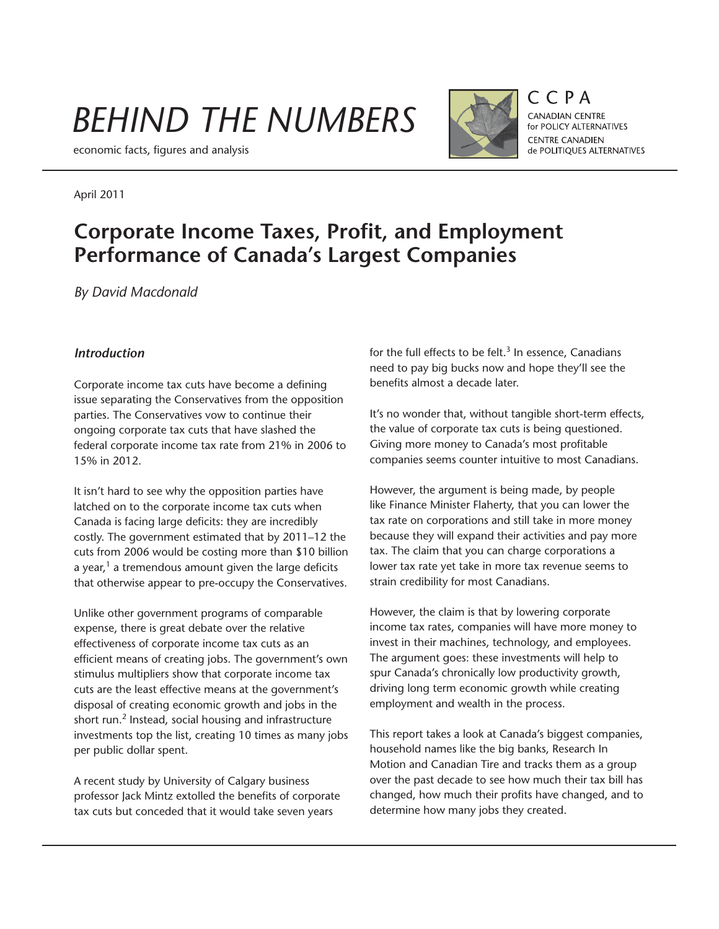# *BEHIND THE NUMBERS*

economic facts, figures and analysis



 $C$  $C$  $P$  $A$ CANADIAN CENTRE for POLICY ALTERNATIVES **CENTRE CANADIEN** de POLITIQUES ALTERNATIVES

### April 2011

## **Corporate Income Taxes, Profit, and Employment Performance of Canada's Largest Companies**

*By David Macdonald*

#### *Introduction*

Corporate income tax cuts have become a defining issue separating the Conservatives from the opposition parties. The Conservatives vow to continue their ongoing corporate tax cuts that have slashed the federal corporate income tax rate from 21% in 2006 to 15% in 2012.

It isn't hard to see why the opposition parties have latched on to the corporate income tax cuts when Canada is facing large deficits: they are incredibly costly. The government estimated that by 2011–12 the cuts from 2006 would be costing more than \$10 billion a year, $1$  a tremendous amount given the large deficits that otherwise appear to pre-occupy the Conservatives.

Unlike other government programs of comparable expense, there is great debate over the relative effectiveness of corporate income tax cuts as an efficient means of creating jobs. The government's own stimulus multipliers show that corporate income tax cuts are the least effective means at the government's disposal of creating economic growth and jobs in the short run.<sup>2</sup> Instead, social housing and infrastructure investments top the list, creating 10 times as many jobs per public dollar spent.

A recent study by University of Calgary business professor Jack Mintz extolled the benefits of corporate tax cuts but conceded that it would take seven years

for the full effects to be felt. $3$  In essence, Canadians need to pay big bucks now and hope they'll see the benefits almost a decade later.

It's no wonder that, without tangible short-term effects, the value of corporate tax cuts is being questioned. Giving more money to Canada's most profitable companies seems counter intuitive to most Canadians.

However, the argument is being made, by people like Finance Minister Flaherty, that you can lower the tax rate on corporations and still take in more money because they will expand their activities and pay more tax. The claim that you can charge corporations a lower tax rate yet take in more tax revenue seems to strain credibility for most Canadians.

However, the claim is that by lowering corporate income tax rates, companies will have more money to invest in their machines, technology, and employees. The argument goes: these investments will help to spur Canada's chronically low productivity growth, driving long term economic growth while creating employment and wealth in the process.

This report takes a look at Canada's biggest companies, household names like the big banks, Research In Motion and Canadian Tire and tracks them as a group over the past decade to see how much their tax bill has changed, how much their profits have changed, and to determine how many jobs they created.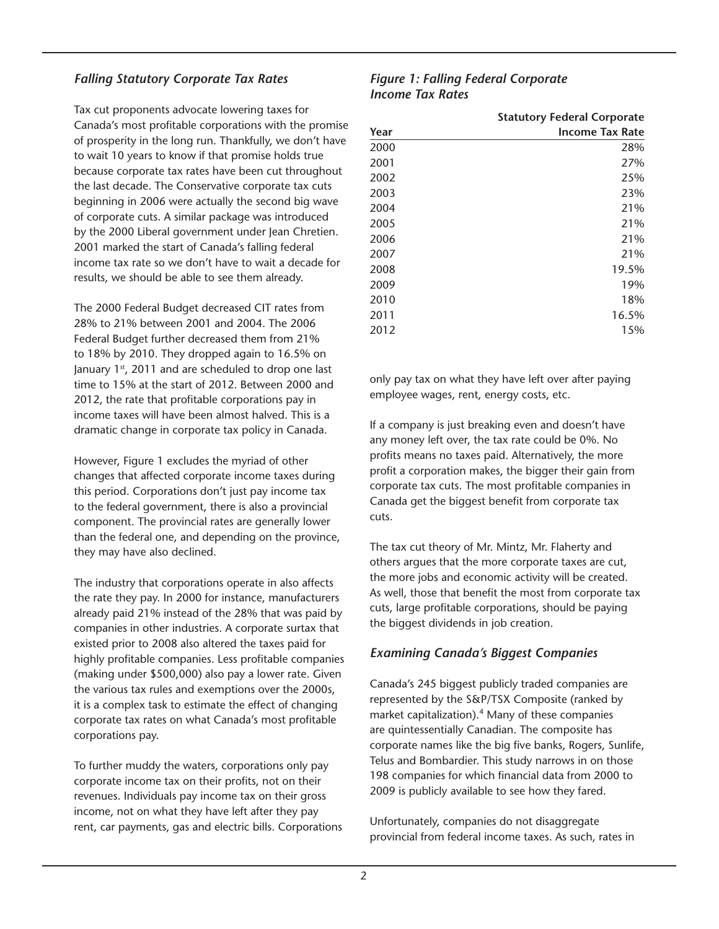#### *Falling Statutory Corporate Tax Rates*

Tax cut proponents advocate lowering taxes for Canada's most profitable corporations with the promise of prosperity in the long run. Thankfully, we don't have to wait 10 years to know if that promise holds true because corporate tax rates have been cut throughout the last decade. The Conservative corporate tax cuts beginning in 2006 were actually the second big wave of corporate cuts. A similar package was introduced by the 2000 Liberal government under Jean Chretien. 2001 marked the start of Canada's falling federal income tax rate so we don't have to wait a decade for results, we should be able to see them already.

The 2000 Federal Budget decreased CIT rates from 28% to 21% between 2001 and 2004. The 2006 Federal Budget further decreased them from 21% to 18% by 2010. They dropped again to 16.5% on January 1<sup>st</sup>, 2011 and are scheduled to drop one last time to 15% at the start of 2012. Between 2000 and 2012, the rate that profitable corporations pay in income taxes will have been almost halved. This is a dramatic change in corporate tax policy in Canada.

However, Figure 1 excludes the myriad of other changes that affected corporate income taxes during this period. Corporations don't just pay income tax to the federal government, there is also a provincial component. The provincial rates are generally lower than the federal one, and depending on the province, they may have also declined.

The industry that corporations operate in also affects the rate they pay. In 2000 for instance, manufacturers already paid 21% instead of the 28% that was paid by companies in other industries. A corporate surtax that existed prior to 2008 also altered the taxes paid for highly profitable companies. Less profitable companies (making under \$500,000) also pay a lower rate. Given the various tax rules and exemptions over the 2000s, it is a complex task to estimate the effect of changing corporate tax rates on what Canada's most profitable corporations pay.

To further muddy the waters, corporations only pay corporate income tax on their profits, not on their revenues. Individuals pay income tax on their gross income, not on what they have left after they pay rent, car payments, gas and electric bills. Corporations

#### *Figure 1: Falling Federal Corporate Income Tax Rates*

|      | <b>Statutory Federal Corporate</b> |
|------|------------------------------------|
| Year | <b>Income Tax Rate</b>             |
| 2000 | 28%                                |
| 2001 | 27%                                |
| 2002 | 25%                                |
| 2003 | 23%                                |
| 2004 | 21%                                |
| 2005 | 21%                                |
| 2006 | 21%                                |
| 2007 | 21%                                |
| 2008 | 19.5%                              |
| 2009 | 19%                                |
| 2010 | 18%                                |
| 2011 | 16.5%                              |
| 2012 | 15%                                |

only pay tax on what they have left over after paying employee wages, rent, energy costs, etc.

If a company is just breaking even and doesn't have any money left over, the tax rate could be 0%. No profits means no taxes paid. Alternatively, the more profit a corporation makes, the bigger their gain from corporate tax cuts. The most profitable companies in Canada get the biggest benefit from corporate tax cuts.

The tax cut theory of Mr. Mintz, Mr. Flaherty and others argues that the more corporate taxes are cut, the more jobs and economic activity will be created. As well, those that benefit the most from corporate tax cuts, large profitable corporations, should be paying the biggest dividends in job creation.

#### *Examining Canada's Biggest Companies*

Canada's 245 biggest publicly traded companies are represented by the S&P/TSX Composite (ranked by market capitalization).4 Many of these companies are quintessentially Canadian. The composite has corporate names like the big five banks, Rogers, Sunlife, Telus and Bombardier. This study narrows in on those 198 companies for which financial data from 2000 to 2009 is publicly available to see how they fared.

Unfortunately, companies do not disaggregate provincial from federal income taxes. As such, rates in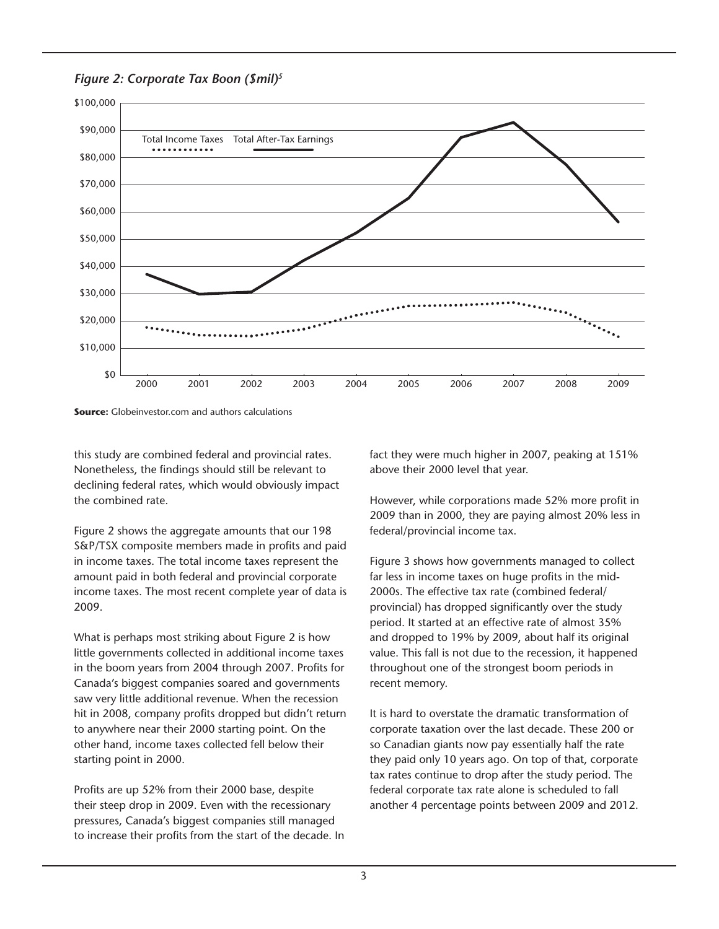

*Figure 2: Corporate Tax Boon (\$mil)5*



this study are combined federal and provincial rates. Nonetheless, the findings should still be relevant to declining federal rates, which would obviously impact the combined rate.

Figure 2 shows the aggregate amounts that our 198 S&P/TSX composite members made in profits and paid in income taxes. The total income taxes represent the amount paid in both federal and provincial corporate income taxes. The most recent complete year of data is 2009.

What is perhaps most striking about Figure 2 is how little governments collected in additional income taxes in the boom years from 2004 through 2007. Profits for Canada's biggest companies soared and governments saw very little additional revenue. When the recession hit in 2008, company profits dropped but didn't return to anywhere near their 2000 starting point. On the other hand, income taxes collected fell below their starting point in 2000.

Profits are up 52% from their 2000 base, despite their steep drop in 2009. Even with the recessionary pressures, Canada's biggest companies still managed to increase their profits from the start of the decade. In fact they were much higher in 2007, peaking at 151% above their 2000 level that year.

However, while corporations made 52% more profit in 2009 than in 2000, they are paying almost 20% less in federal/provincial income tax.

Figure 3 shows how governments managed to collect far less in income taxes on huge profits in the mid-2000s. The effective tax rate (combined federal/ provincial) has dropped significantly over the study period. It started at an effective rate of almost 35% and dropped to 19% by 2009, about half its original value. This fall is not due to the recession, it happened throughout one of the strongest boom periods in recent memory.

It is hard to overstate the dramatic transformation of corporate taxation over the last decade. These 200 or so Canadian giants now pay essentially half the rate they paid only 10 years ago. On top of that, corporate tax rates continue to drop after the study period. The federal corporate tax rate alone is scheduled to fall another 4 percentage points between 2009 and 2012.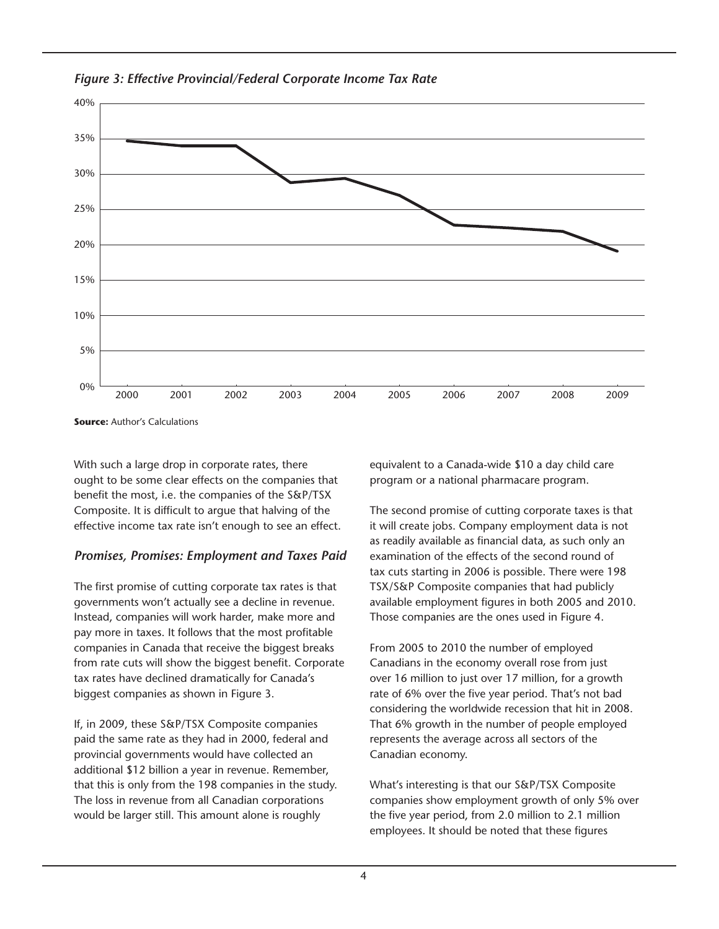

*Figure 3: Effective Provincial/Federal Corporate Income Tax Rate*

**Source:** Author's Calculations

With such a large drop in corporate rates, there ought to be some clear effects on the companies that benefit the most, i.e. the companies of the S&P/TSX Composite. It is difficult to argue that halving of the effective income tax rate isn't enough to see an effect.

#### *Promises, Promises: Employment and Taxes Paid*

The first promise of cutting corporate tax rates is that governments won't actually see a decline in revenue. Instead, companies will work harder, make more and pay more in taxes. It follows that the most profitable companies in Canada that receive the biggest breaks from rate cuts will show the biggest benefit. Corporate tax rates have declined dramatically for Canada's biggest companies as shown in Figure 3.

If, in 2009, these S&P/TSX Composite companies paid the same rate as they had in 2000, federal and provincial governments would have collected an additional \$12 billion a year in revenue. Remember, that this is only from the 198 companies in the study. The loss in revenue from all Canadian corporations would be larger still. This amount alone is roughly

equivalent to a Canada-wide \$10 a day child care program or a national pharmacare program.

The second promise of cutting corporate taxes is that it will create jobs. Company employment data is not as readily available as financial data, as such only an examination of the effects of the second round of tax cuts starting in 2006 is possible. There were 198 TSX/S&P Composite companies that had publicly available employment figures in both 2005 and 2010. Those companies are the ones used in Figure 4.

From 2005 to 2010 the number of employed Canadians in the economy overall rose from just over 16 million to just over 17 million, for a growth rate of 6% over the five year period. That's not bad considering the worldwide recession that hit in 2008. That 6% growth in the number of people employed represents the average across all sectors of the Canadian economy.

What's interesting is that our S&P/TSX Composite companies show employment growth of only 5% over the five year period, from 2.0 million to 2.1 million employees. It should be noted that these figures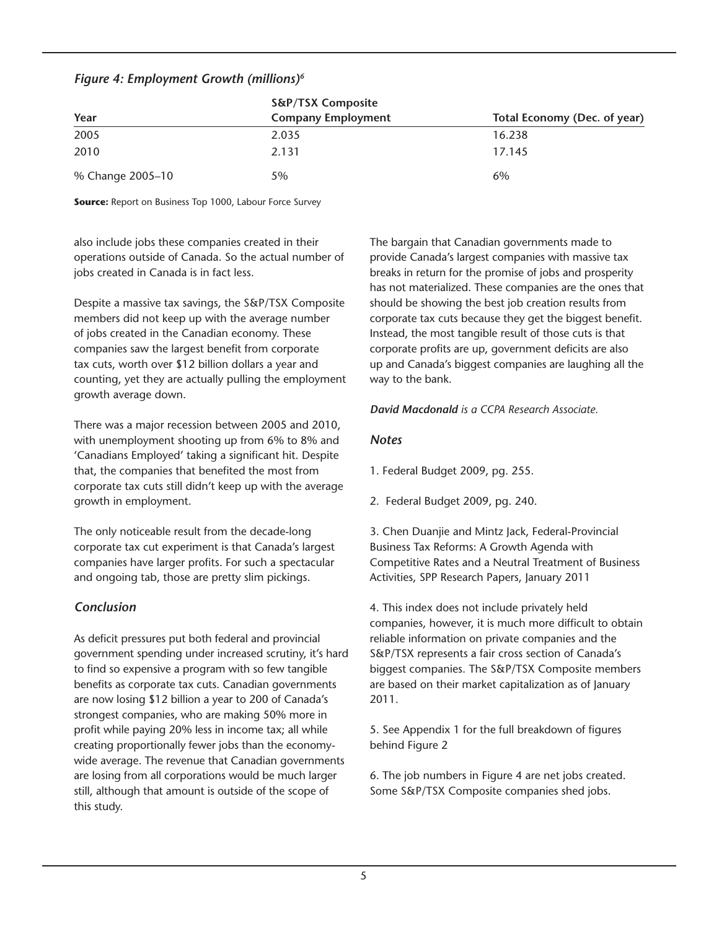#### *Figure 4: Employment Growth (millions)6*

|                  | <b>S&amp;P/TSX Composite</b> |                              |  |  |
|------------------|------------------------------|------------------------------|--|--|
| Year             | <b>Company Employment</b>    | Total Economy (Dec. of year) |  |  |
| 2005             | 2.035                        | 16.238                       |  |  |
| 2010             | 2.131                        | 17.145                       |  |  |
| % Change 2005-10 | 5%                           | 6%                           |  |  |

**Source:** Report on Business Top 1000, Labour Force Survey

also include jobs these companies created in their operations outside of Canada. So the actual number of jobs created in Canada is in fact less.

Despite a massive tax savings, the S&P/TSX Composite members did not keep up with the average number of jobs created in the Canadian economy. These companies saw the largest benefit from corporate tax cuts, worth over \$12 billion dollars a year and counting, yet they are actually pulling the employment growth average down.

There was a major recession between 2005 and 2010, with unemployment shooting up from 6% to 8% and 'Canadians Employed' taking a significant hit. Despite that, the companies that benefited the most from corporate tax cuts still didn't keep up with the average growth in employment.

The only noticeable result from the decade-long corporate tax cut experiment is that Canada's largest companies have larger profits. For such a spectacular and ongoing tab, those are pretty slim pickings.

#### *Conclusion*

As deficit pressures put both federal and provincial government spending under increased scrutiny, it's hard to find so expensive a program with so few tangible benefits as corporate tax cuts. Canadian governments are now losing \$12 billion a year to 200 of Canada's strongest companies, who are making 50% more in profit while paying 20% less in income tax; all while creating proportionally fewer jobs than the economywide average. The revenue that Canadian governments are losing from all corporations would be much larger still, although that amount is outside of the scope of this study.

The bargain that Canadian governments made to provide Canada's largest companies with massive tax breaks in return for the promise of jobs and prosperity has not materialized. These companies are the ones that should be showing the best job creation results from corporate tax cuts because they get the biggest benefit. Instead, the most tangible result of those cuts is that corporate profits are up, government deficits are also up and Canada's biggest companies are laughing all the way to the bank.

*David Macdonald is a CCPA Research Associate.*

#### *Notes*

1. Federal Budget 2009, pg. 255.

2. Federal Budget 2009, pg. 240.

3. Chen Duanjie and Mintz Jack, Federal-Provincial Business Tax Reforms: A Growth Agenda with Competitive Rates and a Neutral Treatment of Business Activities, SPP Research Papers, January 2011

4. This index does not include privately held companies, however, it is much more difficult to obtain reliable information on private companies and the S&P/TSX represents a fair cross section of Canada's biggest companies. The S&P/TSX Composite members are based on their market capitalization as of January 2011.

5. See Appendix 1 for the full breakdown of figures behind Figure 2

6. The job numbers in Figure 4 are net jobs created. Some S&P/TSX Composite companies shed jobs.